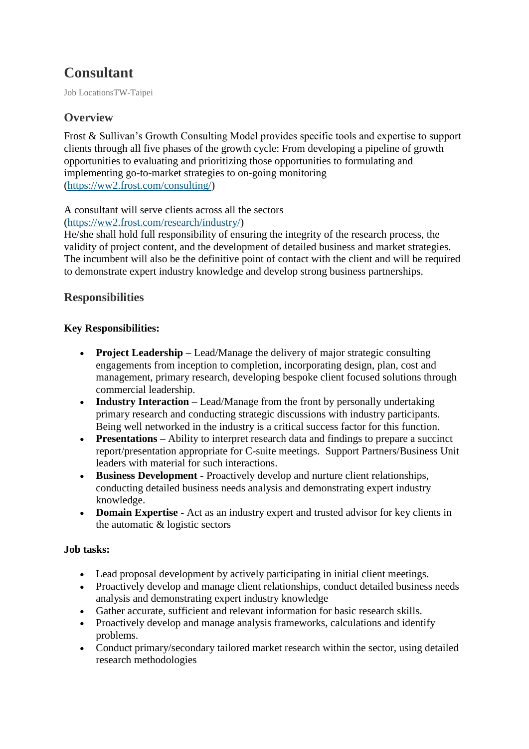# **Consultant**

Job LocationsTW-Taipei

# **Overview**

Frost & Sullivan's Growth Consulting Model provides specific tools and expertise to support clients through all five phases of the growth cycle: From developing a pipeline of growth opportunities to evaluating and prioritizing those opportunities to formulating and implementing go-to-market strategies to on-going monitoring [\(https://ww2.frost.com/consulting/\)](https://ww2.frost.com/consulting/)

## A consultant will serve clients across all the sectors

#### [\(https://ww2.frost.com/research/industry/\)](https://ww2.frost.com/research/industry/)

He/she shall hold full responsibility of ensuring the integrity of the research process, the validity of project content, and the development of detailed business and market strategies. The incumbent will also be the definitive point of contact with the client and will be required to demonstrate expert industry knowledge and develop strong business partnerships.

## **Responsibilities**

## **Key Responsibilities:**

- **Project Leadership –** Lead/Manage the delivery of major strategic consulting engagements from inception to completion, incorporating design, plan, cost and management, primary research, developing bespoke client focused solutions through commercial leadership.
- **Industry Interaction** Lead/Manage from the front by personally undertaking primary research and conducting strategic discussions with industry participants. Being well networked in the industry is a critical success factor for this function.
- **Presentations** Ability to interpret research data and findings to prepare a succinct report/presentation appropriate for C-suite meetings. Support Partners/Business Unit leaders with material for such interactions.
- **Business Development -** Proactively develop and nurture client relationships, conducting detailed business needs analysis and demonstrating expert industry knowledge.
- **Domain Expertise -** Act as an industry expert and trusted advisor for key clients in the automatic & logistic sectors

## **Job tasks:**

- Lead proposal development by actively participating in initial client meetings.
- Proactively develop and manage client relationships, conduct detailed business needs analysis and demonstrating expert industry knowledge
- Gather accurate, sufficient and relevant information for basic research skills.
- Proactively develop and manage analysis frameworks, calculations and identify problems.
- Conduct primary/secondary tailored market research within the sector, using detailed research methodologies